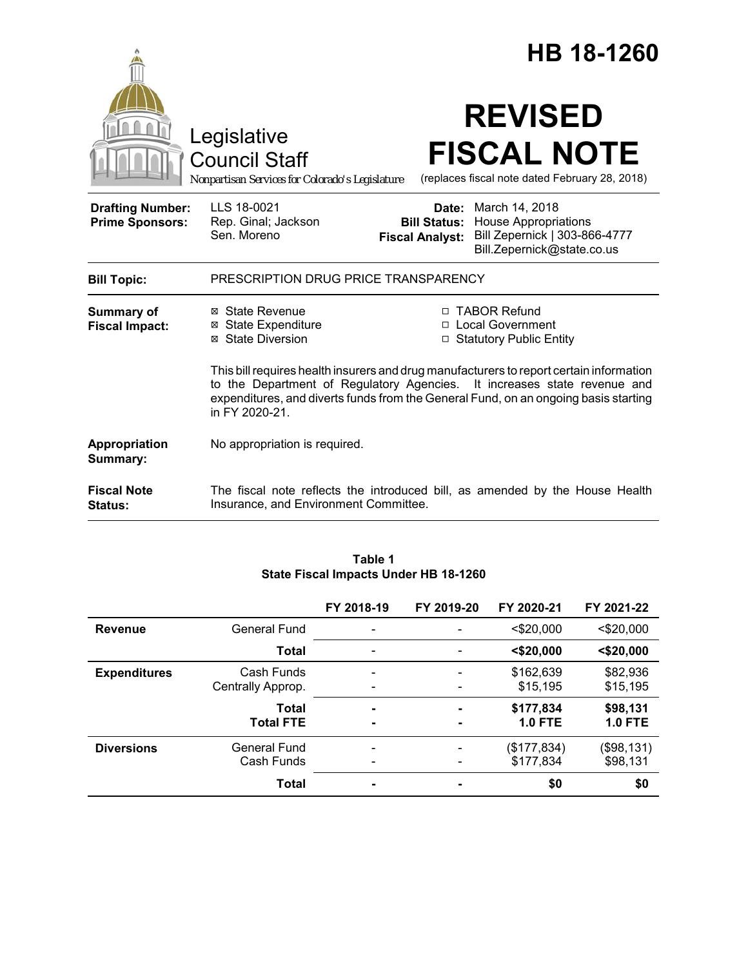|                                                   |                                                                                                                                                                                                                                                                                 |                                                        | HB 18-1260                                                                                                   |  |  |
|---------------------------------------------------|---------------------------------------------------------------------------------------------------------------------------------------------------------------------------------------------------------------------------------------------------------------------------------|--------------------------------------------------------|--------------------------------------------------------------------------------------------------------------|--|--|
|                                                   | Legislative<br><b>Council Staff</b><br>Nonpartisan Services for Colorado's Legislature                                                                                                                                                                                          |                                                        | <b>REVISED</b><br><b>FISCAL NOTE</b><br>(replaces fiscal note dated February 28, 2018)                       |  |  |
| <b>Drafting Number:</b><br><b>Prime Sponsors:</b> | LLS 18-0021<br>Rep. Ginal; Jackson<br>Sen. Moreno                                                                                                                                                                                                                               | Date:<br><b>Bill Status:</b><br><b>Fiscal Analyst:</b> | March 14, 2018<br><b>House Appropriations</b><br>Bill Zepernick   303-866-4777<br>Bill.Zepernick@state.co.us |  |  |
| <b>Bill Topic:</b>                                | PRESCRIPTION DRUG PRICE TRANSPARENCY                                                                                                                                                                                                                                            |                                                        |                                                                                                              |  |  |
| <b>Summary of</b><br><b>Fiscal Impact:</b>        | ⊠ State Revenue<br><b>⊠ State Expenditure</b><br>⊠ State Diversion                                                                                                                                                                                                              |                                                        | □ TABOR Refund<br>□ Local Government<br>□ Statutory Public Entity                                            |  |  |
|                                                   | This bill requires health insurers and drug manufacturers to report certain information<br>to the Department of Regulatory Agencies.<br>It increases state revenue and<br>expenditures, and diverts funds from the General Fund, on an ongoing basis starting<br>in FY 2020-21. |                                                        |                                                                                                              |  |  |
| Appropriation<br>Summary:                         | No appropriation is required.                                                                                                                                                                                                                                                   |                                                        |                                                                                                              |  |  |
| <b>Fiscal Note</b><br><b>Status:</b>              | Insurance, and Environment Committee.                                                                                                                                                                                                                                           |                                                        | The fiscal note reflects the introduced bill, as amended by the House Health                                 |  |  |

|                     |                   | FY 2018-19                   | FY 2019-20     | FY 2020-21     | FY 2021-22     |
|---------------------|-------------------|------------------------------|----------------|----------------|----------------|
| <b>Revenue</b>      | General Fund      | $\overline{\phantom{a}}$     |                | $<$ \$20,000   | $<$ \$20,000   |
|                     | <b>Total</b>      | $\overline{\phantom{a}}$     |                | $<$ \$20,000   | $<$ \$20,000   |
| <b>Expenditures</b> | Cash Funds        | $\overline{\phantom{a}}$     |                | \$162,639      | \$82,936       |
|                     | Centrally Approp. | -                            |                | \$15,195       | \$15,195       |
|                     | Total             | ۰                            | $\blacksquare$ | \$177,834      | \$98,131       |
|                     | <b>Total FTE</b>  | $\blacksquare$               |                | <b>1.0 FTE</b> | <b>1.0 FTE</b> |
| <b>Diversions</b>   | General Fund      | $\overline{\phantom{0}}$     |                | (\$177,834)    | (\$98,131)     |
|                     | Cash Funds        | $\qquad \qquad \blacksquare$ |                | \$177,834      | \$98,131       |
|                     | <b>Total</b>      | $\blacksquare$               |                | \$0            | \$0            |

## **Table 1 State Fiscal Impacts Under HB 18-1260**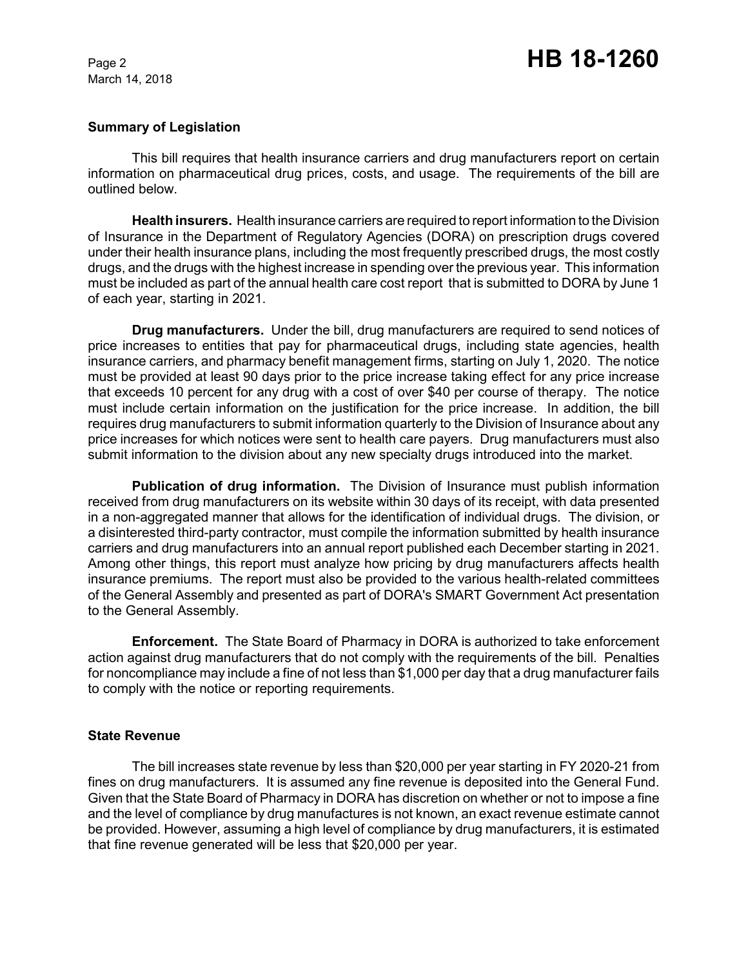March 14, 2018

# **Summary of Legislation**

This bill requires that health insurance carriers and drug manufacturers report on certain information on pharmaceutical drug prices, costs, and usage. The requirements of the bill are outlined below.

**Health insurers.** Health insurance carriers are required to report information to the Division of Insurance in the Department of Regulatory Agencies (DORA) on prescription drugs covered under their health insurance plans, including the most frequently prescribed drugs, the most costly drugs, and the drugs with the highest increase in spending over the previous year. This information must be included as part of the annual health care cost report that is submitted to DORA by June 1 of each year, starting in 2021.

**Drug manufacturers.** Under the bill, drug manufacturers are required to send notices of price increases to entities that pay for pharmaceutical drugs, including state agencies, health insurance carriers, and pharmacy benefit management firms, starting on July 1, 2020. The notice must be provided at least 90 days prior to the price increase taking effect for any price increase that exceeds 10 percent for any drug with a cost of over \$40 per course of therapy. The notice must include certain information on the justification for the price increase. In addition, the bill requires drug manufacturers to submit information quarterly to the Division of Insurance about any price increases for which notices were sent to health care payers. Drug manufacturers must also submit information to the division about any new specialty drugs introduced into the market.

**Publication of drug information.** The Division of Insurance must publish information received from drug manufacturers on its website within 30 days of its receipt, with data presented in a non-aggregated manner that allows for the identification of individual drugs. The division, or a disinterested third-party contractor, must compile the information submitted by health insurance carriers and drug manufacturers into an annual report published each December starting in 2021. Among other things, this report must analyze how pricing by drug manufacturers affects health insurance premiums. The report must also be provided to the various health-related committees of the General Assembly and presented as part of DORA's SMART Government Act presentation to the General Assembly.

**Enforcement.** The State Board of Pharmacy in DORA is authorized to take enforcement action against drug manufacturers that do not comply with the requirements of the bill. Penalties for noncompliance may include a fine of not less than \$1,000 per day that a drug manufacturer fails to comply with the notice or reporting requirements.

## **State Revenue**

The bill increases state revenue by less than \$20,000 per year starting in FY 2020-21 from fines on drug manufacturers. It is assumed any fine revenue is deposited into the General Fund. Given that the State Board of Pharmacy in DORA has discretion on whether or not to impose a fine and the level of compliance by drug manufactures is not known, an exact revenue estimate cannot be provided. However, assuming a high level of compliance by drug manufacturers, it is estimated that fine revenue generated will be less that \$20,000 per year.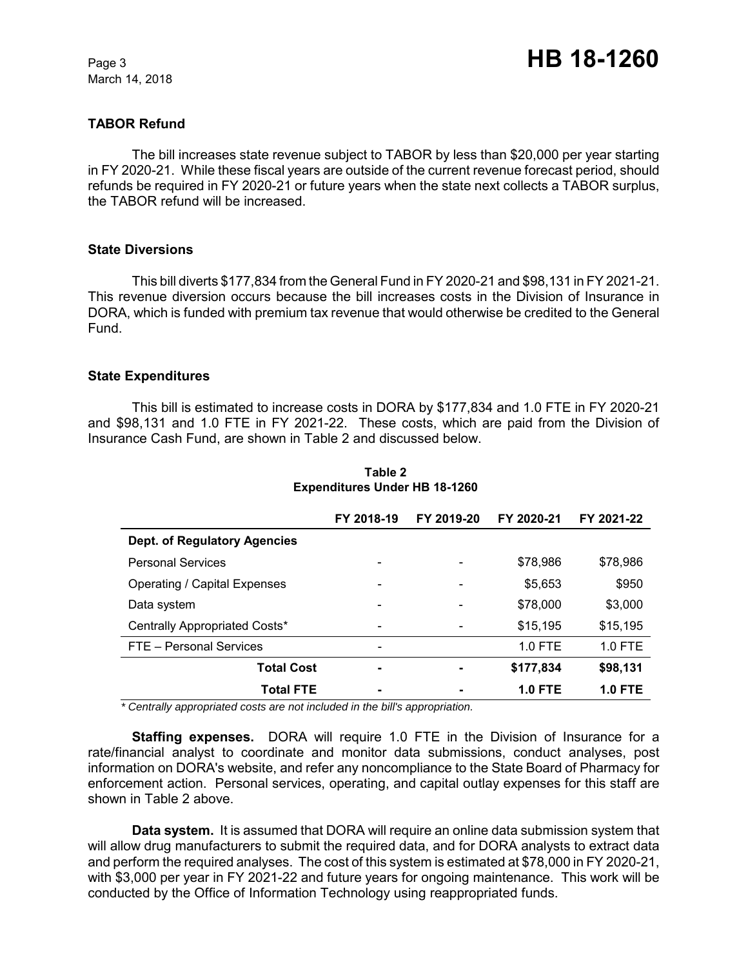March 14, 2018

# **TABOR Refund**

The bill increases state revenue subject to TABOR by less than \$20,000 per year starting in FY 2020-21. While these fiscal years are outside of the current revenue forecast period, should refunds be required in FY 2020-21 or future years when the state next collects a TABOR surplus, the TABOR refund will be increased.

#### **State Diversions**

This bill diverts \$177,834 from the General Fund in FY 2020-21 and \$98,131 in FY 2021-21. This revenue diversion occurs because the bill increases costs in the Division of Insurance in DORA, which is funded with premium tax revenue that would otherwise be credited to the General Fund.

# **State Expenditures**

This bill is estimated to increase costs in DORA by \$177,834 and 1.0 FTE in FY 2020-21 and \$98,131 and 1.0 FTE in FY 2021-22. These costs, which are paid from the Division of Insurance Cash Fund, are shown in Table 2 and discussed below.

|                                     | FY 2018-19               | FY 2019-20 | FY 2020-21     | FY 2021-22     |
|-------------------------------------|--------------------------|------------|----------------|----------------|
| Dept. of Regulatory Agencies        |                          |            |                |                |
| <b>Personal Services</b>            |                          |            | \$78,986       | \$78,986       |
| <b>Operating / Capital Expenses</b> | $\overline{\phantom{a}}$ |            | \$5,653        | \$950          |
| Data system                         |                          |            | \$78,000       | \$3,000        |
| Centrally Appropriated Costs*       |                          |            | \$15,195       | \$15,195       |
| FTE - Personal Services             | $\overline{\phantom{0}}$ |            | 1.0 FTE        | $1.0$ FTE      |
| <b>Total Cost</b>                   |                          |            | \$177,834      | \$98,131       |
| <b>Total FTE</b>                    | $\blacksquare$           |            | <b>1.0 FTE</b> | <b>1.0 FTE</b> |

## **Table 2 Expenditures Under HB 18-1260**

 *\* Centrally appropriated costs are not included in the bill's appropriation.*

**Staffing expenses.** DORA will require 1.0 FTE in the Division of Insurance for a rate/financial analyst to coordinate and monitor data submissions, conduct analyses, post information on DORA's website, and refer any noncompliance to the State Board of Pharmacy for enforcement action. Personal services, operating, and capital outlay expenses for this staff are shown in Table 2 above.

**Data system.** It is assumed that DORA will require an online data submission system that will allow drug manufacturers to submit the required data, and for DORA analysts to extract data and perform the required analyses. The cost of this system is estimated at \$78,000 in FY 2020-21, with \$3,000 per year in FY 2021-22 and future years for ongoing maintenance. This work will be conducted by the Office of Information Technology using reappropriated funds.